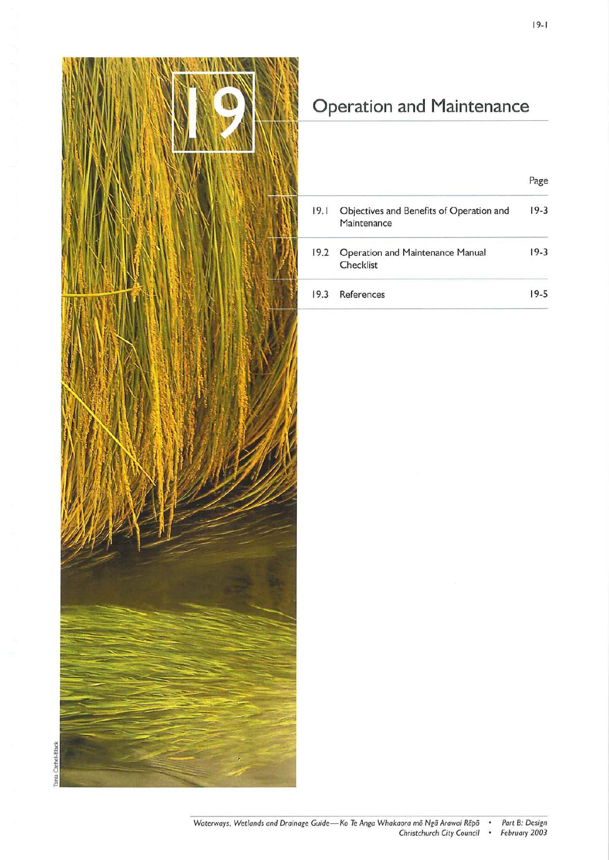

# **Operation and Maintenance**

|      |                                                         | Page   |
|------|---------------------------------------------------------|--------|
| 19.1 | Objectives and Benefits of Operation and<br>Maintenance | $19-3$ |
| 19.2 | Operation and Maintenance Manual<br>Checklist           | $19-3$ |
| 19.3 | References                                              | 19-5   |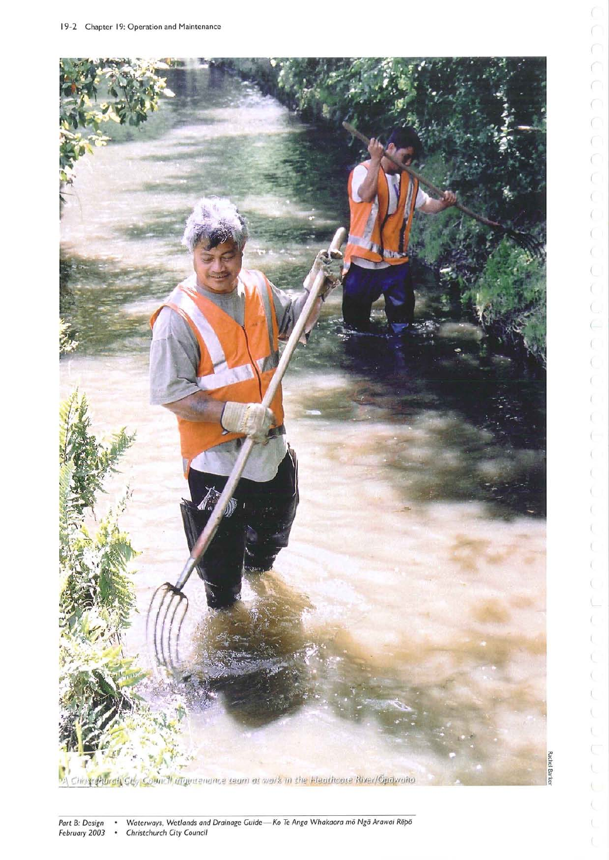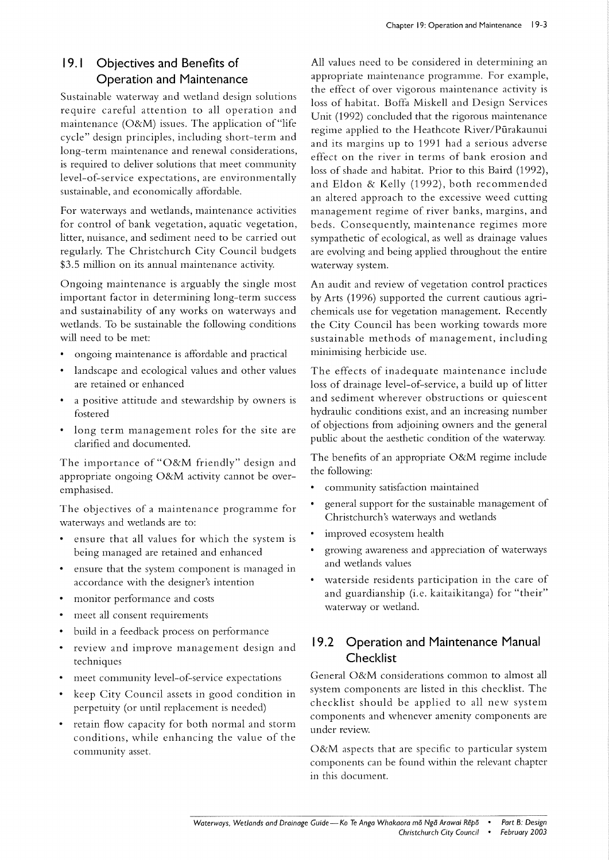# **19. 1 Objectives and Benefits of Operation and Maintenance**

Sustainable waterway and wetland design solutions require careful attention to all operation and maintenance (O&M) issues. The application of "life cycle" design principles, including short-term and long-term maintenance and renewal considerations, is required to deliver solutions that meet community level-of-service expectations, are environmentally sustainable, and economically affordable.

For waterways and wetlands, maintenance activities for control of bank vegetation, aquatic vegetation, litter, nuisance, and sediment need to be carried out regularly. The Christchurch City Council budgets \$3.5 million on its annual maintenance activity.

Ongoing maintenance is arguably the single most important factor in determining long-term success and sustainability of any works on waterways and wetlands. To be sustainable the following conditions will need to be met:

- ongoing maintenance is affordable and practical
- landscape and ecological values and other values are retained or enhanced
- a positive attitude and stewardship by owners is fostered
- long term management roles for the site are clarified and documented.

The importance of "O&M friendly" design and appropriate ongoing O&M activity cannot be overemphasised.

The objectives of a maintenance programme for waterways and wetlands are to:

- ensure that all values for which the system is being managed are retained and enhanced
- ensure that the system component is managed in accordance with the designer's intention
- monitor performance and costs
- $\bullet$ meet all consent requirements
- build in a feedback process on performance
- review and improve management design and techniques
- meet community level-of-service expectations
- keep City Council assets in good condition in perpetuity (or until replacement is needed)
- retain flow capacity for both normal and storm conditions, while enhancing the value of the community asset.

All values need to be considered in determining an appropriate maintenance programme. For example, the effect of over vigorous maintenance activity is loss of habitat. Boffa Miskell and Design Services Unit (1992) concluded that the rigorous maintenance regime applied to the Heathcote River/Pūrakaunui and its margins up to 1991 had a serious adverse effect on the river in terms of bank erosion and loss of shade and habitat. Prior to this Baird (1992), and Eldon & Kelly (1992), both recommended an altered approach to the excessive weed cutting management regime of river banks, margins, and beds. Consequently, maintenance regimes more sympathetic of ecological, as well as drainage values are evolving and being applied throughout the entire waterway system.

An audit and review of vegetation control practices by Arts (1996) supported the current cautious agrichemicals use for vegetation management. Recently the City Council has been working towards more sustainable methods of management, including minimising herbicide use.

The effects of inadequate maintenance include loss of drainage level-of-service, a build up of litter and sediment wherever obstructions or quiescent hydraulic conditions exist, and an increasing number of objections from adjoining owners and the general public about the aesthetic condition of the waterway.

The benefits of an appropriate O&M regime include the following:

- $\bullet$ community satisfaction maintained
- general support for the sustainable management of Christchurch's waterways and wetlands
- improved ecosystem health
- growing awareness and appreciation of waterways and wetlands values
- waterside residents participation in the care of and guardianship (i.e. kaitaikitanga) for "their" waterway or wetland.

# **19.2 Operation and Maintenance Manual Checklist**

General O&M considerations common to almost all system components are listed in this checklist. The checklist should be applied to all new system components and whenever amenity components are under review.

O&M aspects that are specific to particular system components can be found within the relevant chapter in this document.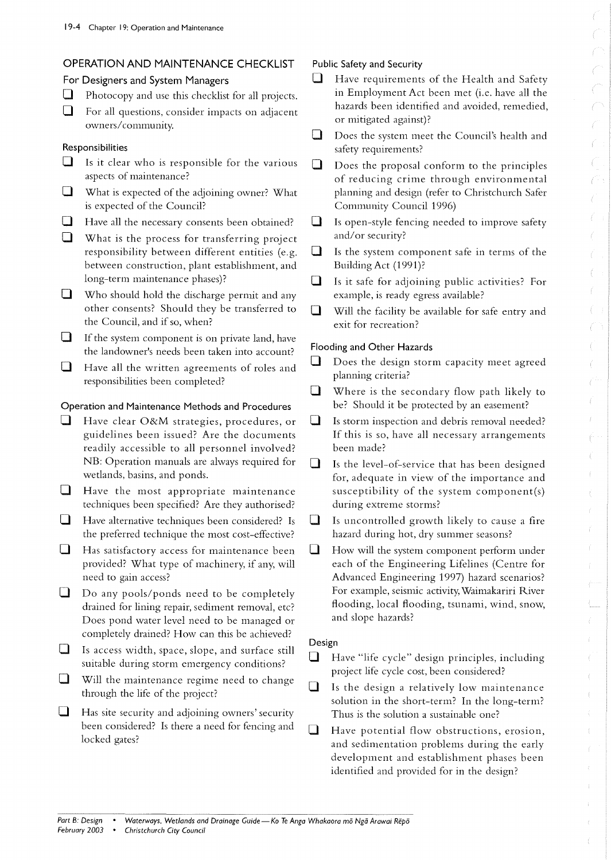## **OPERATION AND MAINTENANCE CHECKLIST**

#### **For Designers and System Managers**

- $\Box$  Photocopy and use this checklist for all projects.
- $\Box$  For all questions, consider impacts on adjacent owners/ community.

#### **Responsibilities**

- $\Box$  Is it clear who is responsible for the various aspects of maintenance?
- $\Box$  What is expected of the adjoining owner? What is expected of the Council?
- $\Box$  Have all the necessary consents been obtained?
- $\Box$  What is the process for transferring project responsibility between different entities (e.g. between construction, plant establishment, and long-term maintenance phases)?
- $\Box$  Who should hold the discharge permit and any other consents? Should they be transferred to the Council, and if so, when?
- **If the system component is on private land, have** the landowner's needs been taken into account?
- $\Box$  Have all the written agreements of roles and responsibilities been completed?

#### **Operation and Maintenance Methods and Procedures**

- $\Box$  Have clear O&M strategies, procedures, or guidelines been issued? Are the documents readily accessible to all personnel involved? NB: Operation manuals are always required for wetlands, basins, and ponds.
- $\Box$  Have the most appropriate maintenance techniques been specified? Are they authorised?
- $\Box$  Have alternative techniques been considered? Is the preferred technique the most cost-effective?
- $\Box$  Has satisfactory access for maintenance been provided? What type of machinery, if any, will need to gain access?
- $\Box$  Do any pools/ponds need to be completely drained for lining repair, sediment removal, etc? Does pond water level need to be managed or completely drained? How can this be achieved?
- $\Box$  Is access width, space, slope, and surface still suitable during storm emergency conditions?
- $\Box$  Will the maintenance regime need to change through the life of the project?
- $\Box$  Has site security and adjoining owners' security been considered? Is there a need for fencing and locked gates?

## **Public Safety and Security**

- $\Box$  Have requirements of the Health and Safety in Employment Act been met (i.e. have all the hazards been identified and avoided, remedied, or mitigated against)?
- $\Box$  Does the system meet the Council's health and safety requirements?
- $\Box$  Does the proposal conform to the principles of reducing crime through environmental planning and design (refer to Christchurch Safer Community Council 1996)
- $\Box$  Is open-style fencing needed to improve safety and/or security?
- $\Box$  Is the system component safe in terms of the Building Act (1991)?
- $\Box$  Is it safe for adjoining public activities? For example, is ready egress available?
- $\Box$  Will the facility be available for safe entry and exit for recreation?

## **Flooding and Other Hazards**

- $\sqcup$ Does the design storm capacity meet agreed planning criteria?
- o Where is the secondary flow path likely to be? Should it be protected by an easement?
- $\Box$  Is storm inspection and debris removal needed? **If** this is so, have all necessary arrangements been made?
- $\Box$  Is the level-of-service that has been designed for, adequate in view of the importance and susceptibility of the system component(s) during extreme storms?
- $\Box$  Is uncontrolled growth likely to cause a fire hazard during hot, dry summer seasons?
- $\Box$  How will the system component perform under each of the Engineering Lifelines (Centre for Advanced Engineering 1997) hazard scenarios? For example, seismic activity, Waimakariri River flooding, local flooding, tsunami, wind, snow, and slope hazards?

## **Design**

- $\Box$  Have "life cycle" design principles, including project life cycle cost, been considered?
- $\Box$  Is the design a relatively low maintenance solution in the short-term? In the long-term? Thus is the solution a sustainable one?
- $\Box$  Have potential flow obstructions, erosion, and sedimentation problems during the early development and establishment phases been identified and provided for in the design?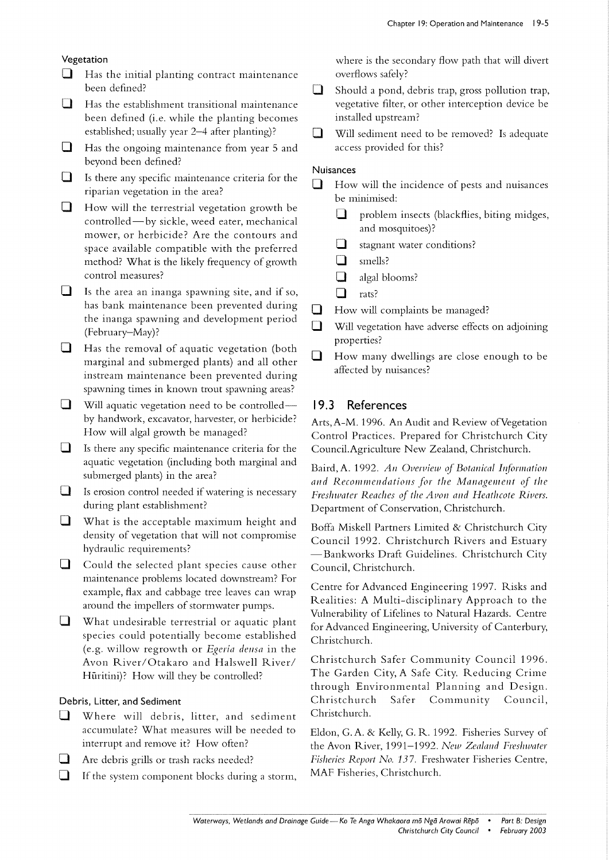#### Vegetation

- $\Box$  Has the initial planting contract maintenance been defined?
- $\Box$  Has the establishment transitional maintenance been defined (i.e. while the planting becomes established; usually year 2-4 after planting)?
- $\Box$  Has the ongoing maintenance from year 5 and beyond been defined?
- $\Box$  Is there any specific maintenance criteria for the riparian vegetation in the area?
- $\Box$  How will the terrestrial vegetation growth be controlled-by sickle, weed eater, mechanical mower, or herbicide? Are the contours and space available compatible with the preferred method? What is the likely frequency of growth control measures?
- $\Box$  Is the area an inanga spawning site, and if so, has bank maintenance been prevented during the inanga spawning and development period (February-May) ?
- $\Box$  Has the removal of aquatic vegetation (both marginal and submerged plants) and all other instream maintenance been prevented during spawning times in known trout spawning areas?
- $\Box$  Will aquatic vegetation need to be controlledby handwork, excavator, harvester, or herbicide? How will algal growth be managed?
- $\Box$  Is there any specific maintenance criteria for the aquatic vegetation (including both marginal and submerged plants) in the area?
- $\Box$  Is erosion control needed if watering is necessary during plant establishment?
- $\Box$  What is the acceptable maximum height and density of vegetation that will not compromise hydraulic requirements?
- $\Box$  Could the selected plant species cause other maintenance problems located downstream? For example, flax and cabbage tree leaves can wrap around the impellers of storm water pumps.
- $\Box$  What undesirable terrestrial or aquatic plant species could potentially become established (e.g. willow regrowth or *Egeria densa* in the Avon River/Otakaro and Halswell River/ Hüritini)? How will they be controlled?

#### Debris, Litter, and Sediment

- $\Box$  Where will debris, litter, and sediment accumulate? What measures will be needed to interrupt and remove it? How often?
- $\Box$  Are debris grills or trash racks needed?
- $\Box$  If the system component blocks during a storm,

where is the secondary flow path that will divert overflows safely?

- $\Box$  Should a pond, debris trap, gross pollution trap, vegetative filter, or other interception device be installed upstream?
- $\Box$  Will sediment need to be removed? Is adequate access provided for this?

#### **Nuisances**

- $\Box$  How will the incidence of pests and nuisances be minimised:
	- $\Box$  problem insects (blackflies, biting midges, and mosquitoes)?
	- $\Box$  stagnant water conditions?
	- $\Box$  smells?
	- $\Box$  algal blooms?
	- $\Box$  rats?
- $\Box$  How will complaints be managed?
- $\Box$  Will vegetation have adverse effects on adjoining properties?
- $\Box$  How many dwellings are close enough to be affected by nuisances?

#### I **9.3 References**

Arts,A-M. 1996. An Audit and Review ofVegetation Control Practices. Prepared for Christchurch City Council.Agriculture New Zealand, Christchurch.

Baird, A. 1992. An Overview of Botanical Information and Recommendations for the Management of the *Freshwater Reaches of the Avon and Heathcote Rivers.* Department of Conservation, Christchurch.

Boffa Miskell Partners Limited & Christchurch City Council 1992. Christchurch Rivers and Estuary - Bankworks Draft Guidelines. Christchurch City Council, Christchurch.

Centre for Advanced Engineering 1997. Risks and Realities: A Multi-disciplinary Approach to the Vulnerability of Lifelines to Natural Hazards. Centre for Advanced Engineering, University of Canterbury, Christchurch.

Christchurch Safer Community Council 1996. The Garden City, A Safe City. Reducing Crime through Environmental Planning and Design. Christchurch Safer Community Council, Christchurch.

Eldon, G. A. & Kelly, G. R. 1992. Fisheries Survey of the Avon River, 1991-1992. *New Zealand Freshwater Fisheries Report No.* 137. Freshwater Fisheries Centre, MAF Fisheries, Christchurch.